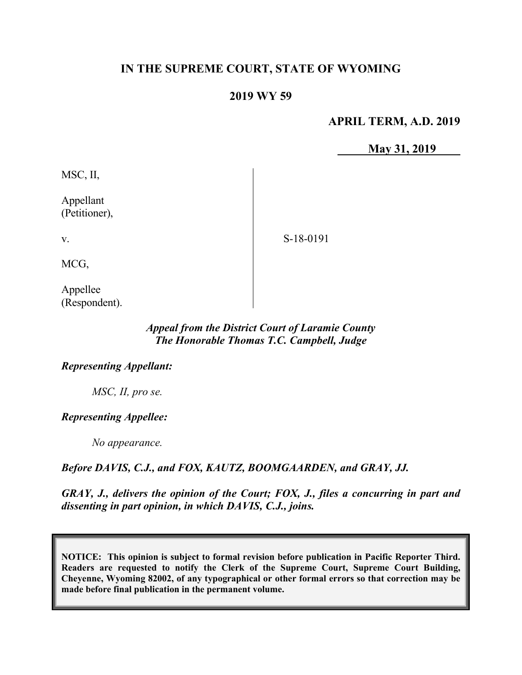# **IN THE SUPREME COURT, STATE OF WYOMING**

# **2019 WY 59**

## **APRIL TERM, A.D. 2019**

**May 31, 2019**

MSC, II,

Appellant (Petitioner),

S-18-0191

MCG,

v.

Appellee (Respondent).

# *Appeal from the District Court of Laramie County The Honorable Thomas T.C. Campbell, Judge*

#### *Representing Appellant:*

*MSC, II, pro se.*

### *Representing Appellee:*

*No appearance.*

### *Before DAVIS, C.J., and FOX, KAUTZ, BOOMGAARDEN, and GRAY, JJ.*

*GRAY, J., delivers the opinion of the Court; FOX, J., files a concurring in part and dissenting in part opinion, in which DAVIS, C.J., joins.*

**NOTICE: This opinion is subject to formal revision before publication in Pacific Reporter Third. Readers are requested to notify the Clerk of the Supreme Court, Supreme Court Building, Cheyenne, Wyoming 82002, of any typographical or other formal errors so that correction may be made before final publication in the permanent volume.**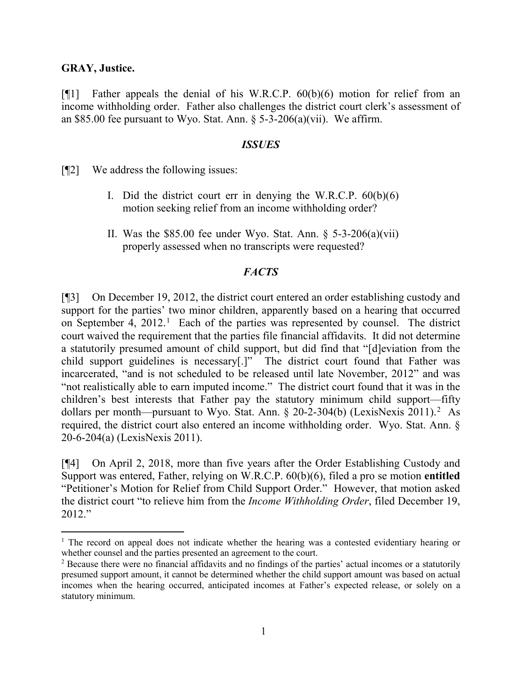### **GRAY, Justice.**

[¶1] Father appeals the denial of his W.R.C.P. 60(b)(6) motion for relief from an income withholding order. Father also challenges the district court clerk's assessment of an \$85.00 fee pursuant to Wyo. Stat. Ann.  $\S$  5-3-206(a)(vii). We affirm.

#### *ISSUES*

[¶2] We address the following issues:

- I. Did the district court err in denying the W.R.C.P.  $60(b)(6)$ motion seeking relief from an income withholding order?
- II. Was the \$85.00 fee under Wyo. Stat. Ann.  $\S$  5-3-206(a)(vii) properly assessed when no transcripts were requested?

### *FACTS*

[¶3] On December 19, 2012, the district court entered an order establishing custody and support for the parties' two minor children, apparently based on a hearing that occurred on September 4, 2012. [1](#page-1-0) Each of the parties was represented by counsel. The district court waived the requirement that the parties file financial affidavits. It did not determine a statutorily presumed amount of child support, but did find that "[d]eviation from the child support guidelines is necessary[.]" The district court found that Father was incarcerated, "and is not scheduled to be released until late November, 2012" and was "not realistically able to earn imputed income." The district court found that it was in the children's best interests that Father pay the statutory minimum child support—fifty dollars per month—pursuant to Wyo. Stat. Ann.  $\S 20-2-304(b)$  $\S 20-2-304(b)$  $\S 20-2-304(b)$  (LexisNexis 2011).<sup>2</sup> As required, the district court also entered an income withholding order. Wyo. Stat. Ann. § 20-6-204(a) (LexisNexis 2011).

[¶4] On April 2, 2018, more than five years after the Order Establishing Custody and Support was entered, Father, relying on W.R.C.P. 60(b)(6), filed a pro se motion **entitled** "Petitioner's Motion for Relief from Child Support Order." However, that motion asked the district court "to relieve him from the *Income Withholding Order*, filed December 19, 2012."

<span id="page-1-0"></span><sup>&</sup>lt;sup>1</sup> The record on appeal does not indicate whether the hearing was a contested evidentiary hearing or whether counsel and the parties presented an agreement to the court.

<span id="page-1-1"></span><sup>&</sup>lt;sup>2</sup> Because there were no financial affidavits and no findings of the parties' actual incomes or a statutorily presumed support amount, it cannot be determined whether the child support amount was based on actual incomes when the hearing occurred, anticipated incomes at Father's expected release, or solely on a statutory minimum.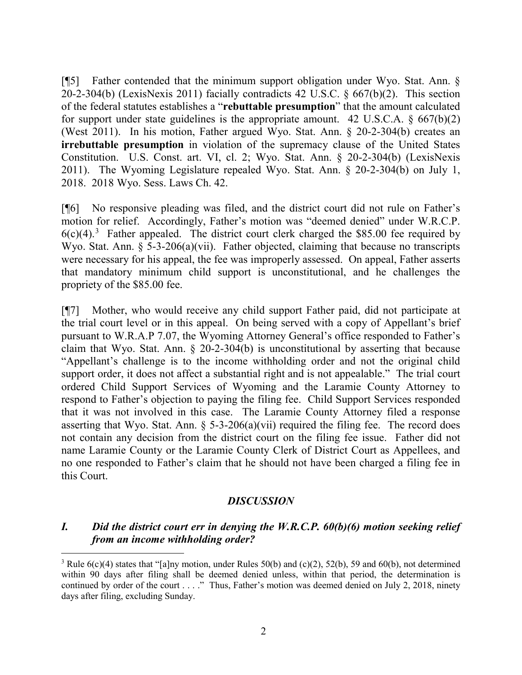[¶5] Father contended that the minimum support obligation under Wyo. Stat. Ann. § 20-2-304(b) (LexisNexis 2011) facially contradicts 42 U.S.C. § 667(b)(2). This section of the federal statutes establishes a "**rebuttable presumption**" that the amount calculated for support under state guidelines is the appropriate amount. 42 U.S.C.A.  $\S$  667(b)(2) (West 2011). In his motion, Father argued Wyo. Stat. Ann. § 20-2-304(b) creates an **irrebuttable presumption** in violation of the supremacy clause of the United States Constitution. U.S. Const. art. VI, cl. 2; Wyo. Stat. Ann. § 20-2-304(b) (LexisNexis 2011). The Wyoming Legislature repealed Wyo. Stat. Ann. § 20-2-304(b) on July 1, 2018. 2018 Wyo. Sess. Laws Ch. 42.

[¶6] No responsive pleading was filed, and the district court did not rule on Father's motion for relief. Accordingly, Father's motion was "deemed denied" under W.R.C.P.  $6(c)(4)$ .<sup>[3](#page-2-0)</sup> Father appealed. The district court clerk charged the \$85.00 fee required by Wyo. Stat. Ann.  $\S$  5-3-206(a)(vii). Father objected, claiming that because no transcripts were necessary for his appeal, the fee was improperly assessed. On appeal, Father asserts that mandatory minimum child support is unconstitutional, and he challenges the propriety of the \$85.00 fee.

[¶7] Mother, who would receive any child support Father paid, did not participate at the trial court level or in this appeal. On being served with a copy of Appellant's brief pursuant to W.R.A.P 7.07, the Wyoming Attorney General's office responded to Father's claim that Wyo. Stat. Ann. § 20-2-304(b) is unconstitutional by asserting that because "Appellant's challenge is to the income withholding order and not the original child support order, it does not affect a substantial right and is not appealable." The trial court ordered Child Support Services of Wyoming and the Laramie County Attorney to respond to Father's objection to paying the filing fee. Child Support Services responded that it was not involved in this case. The Laramie County Attorney filed a response asserting that Wyo. Stat. Ann.  $\S$  5-3-206(a)(vii) required the filing fee. The record does not contain any decision from the district court on the filing fee issue. Father did not name Laramie County or the Laramie County Clerk of District Court as Appellees, and no one responded to Father's claim that he should not have been charged a filing fee in this Court.

### *DISCUSSION*

# *I. Did the district court err in denying the W.R.C.P. 60(b)(6) motion seeking relief from an income withholding order?*

<span id="page-2-0"></span><sup>&</sup>lt;sup>3</sup> Rule  $6(c)(4)$  states that "[a]ny motion, under Rules 50(b) and (c)(2), 52(b), 59 and 60(b), not determined within 90 days after filing shall be deemed denied unless, within that period, the determination is continued by order of the court . . . ." Thus, Father's motion was deemed denied on July 2, 2018, ninety days after filing, excluding Sunday.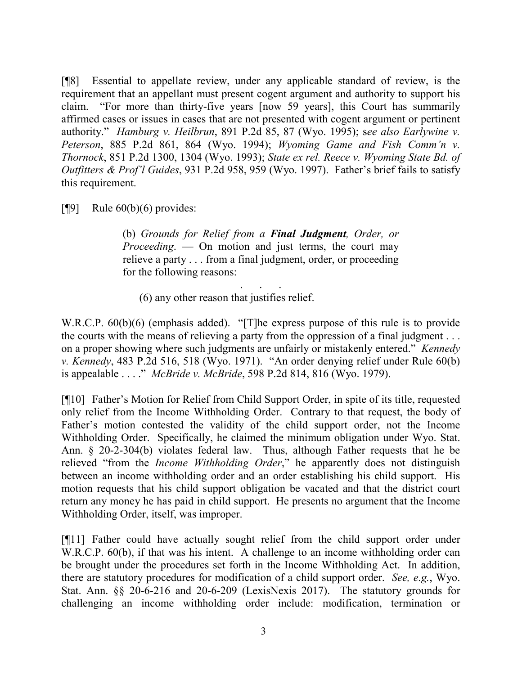[¶8] Essential to appellate review, under any applicable standard of review, is the requirement that an appellant must present cogent argument and authority to support his claim. "For more than thirty-five years [now 59 years], this Court has summarily affirmed cases or issues in cases that are not presented with cogent argument or pertinent authority." *Hamburg v. Heilbrun*, 891 P.2d 85, 87 (Wyo. 1995); s*ee also Earlywine v. Peterson*, 885 P.2d 861, 864 (Wyo. 1994); *Wyoming Game and Fish Comm'n v. Thornock*, 851 P.2d 1300, 1304 (Wyo. 1993); *State ex rel. Reece v. Wyoming State Bd. of Outfitters & Prof'l Guides*, 931 P.2d 958, 959 (Wyo. 1997). Father's brief fails to satisfy this requirement.

[ $\llbracket \phi$ ] Rule 60(b)(6) provides:

(b) *Grounds for Relief from a Final Judgment, Order, or Proceeding.* — On motion and just terms, the court may relieve a party . . . from a final judgment, order, or proceeding for the following reasons:

. . . . . .

(6) any other reason that justifies relief.

W.R.C.P. 60(b)(6) (emphasis added). "[T]he express purpose of this rule is to provide the courts with the means of relieving a party from the oppression of a final judgment . . . on a proper showing where such judgments are unfairly or mistakenly entered." *Kennedy v. Kennedy*, 483 P.2d 516, 518 (Wyo. 1971). "An order denying relief under Rule 60(b) is appealable . . . ." *McBride v. McBride*, 598 P.2d 814, 816 (Wyo. 1979).

[¶10] Father's Motion for Relief from Child Support Order, in spite of its title, requested only relief from the Income Withholding Order. Contrary to that request, the body of Father's motion contested the validity of the child support order, not the Income Withholding Order. Specifically, he claimed the minimum obligation under Wyo. Stat. Ann. § 20-2-304(b) violates federal law. Thus, although Father requests that he be relieved "from the *Income Withholding Order*," he apparently does not distinguish between an income withholding order and an order establishing his child support. His motion requests that his child support obligation be vacated and that the district court return any money he has paid in child support. He presents no argument that the Income Withholding Order, itself, was improper.

[¶11] Father could have actually sought relief from the child support order under W.R.C.P. 60(b), if that was his intent. A challenge to an income withholding order can be brought under the procedures set forth in the Income Withholding Act. In addition, there are statutory procedures for modification of a child support order. *See, e.g.*, Wyo. Stat. Ann. §§ 20-6-216 and 20-6-209 (LexisNexis 2017). The statutory grounds for challenging an income withholding order include: modification, termination or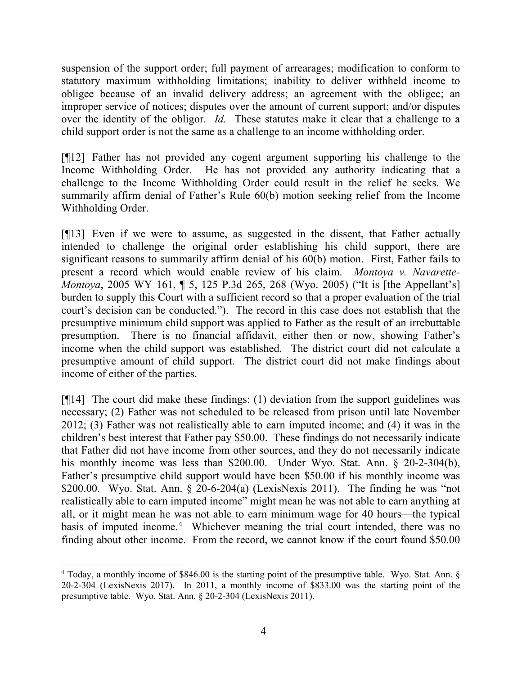suspension of the support order; full payment of arrearages; modification to conform to statutory maximum withholding limitations; inability to deliver withheld income to obligee because of an invalid delivery address; an agreement with the obligee; an improper service of notices; disputes over the amount of current support; and/or disputes over the identity of the obligor. *Id.* These statutes make it clear that a challenge to a child support order is not the same as a challenge to an income withholding order.

[¶12] Father has not provided any cogent argument supporting his challenge to the Income Withholding Order. He has not provided any authority indicating that a challenge to the Income Withholding Order could result in the relief he seeks. We summarily affirm denial of Father's Rule 60(b) motion seeking relief from the Income Withholding Order.

[¶13] Even if we were to assume, as suggested in the dissent, that Father actually intended to challenge the original order establishing his child support, there are significant reasons to summarily affirm denial of his 60(b) motion. First, Father fails to present a record which would enable review of his claim. *Montoya v. Navarette-Montoya*, 2005 WY 161, ¶ 5, 125 P.3d 265, 268 (Wyo. 2005) ("It is [the Appellant's] burden to supply this Court with a sufficient record so that a proper evaluation of the trial court's decision can be conducted."). The record in this case does not establish that the presumptive minimum child support was applied to Father as the result of an irrebuttable presumption. There is no financial affidavit, either then or now, showing Father's income when the child support was established. The district court did not calculate a presumptive amount of child support. The district court did not make findings about income of either of the parties.

[¶14] The court did make these findings: (1) deviation from the support guidelines was necessary; (2) Father was not scheduled to be released from prison until late November 2012; (3) Father was not realistically able to earn imputed income; and (4) it was in the children's best interest that Father pay \$50.00. These findings do not necessarily indicate that Father did not have income from other sources, and they do not necessarily indicate his monthly income was less than \$200.00. Under Wyo. Stat. Ann. § 20-2-304(b), Father's presumptive child support would have been \$50.00 if his monthly income was \$200.00. Wyo. Stat. Ann.  $\S$  20-6-204(a) (LexisNexis 2011). The finding he was "not realistically able to earn imputed income" might mean he was not able to earn anything at all, or it might mean he was not able to earn minimum wage for 40 hours—the typical basis of imputed income.<sup>[4](#page-4-0)</sup> Whichever meaning the trial court intended, there was no finding about other income. From the record, we cannot know if the court found \$50.00

<span id="page-4-0"></span><sup>&</sup>lt;sup>4</sup> Today, a monthly income of \$846.00 is the starting point of the presumptive table. Wyo. Stat. Ann. § 20-2-304 (LexisNexis 2017). In 2011, a monthly income of \$833.00 was the starting point of the presumptive table. Wyo. Stat. Ann. § 20-2-304 (LexisNexis 2011).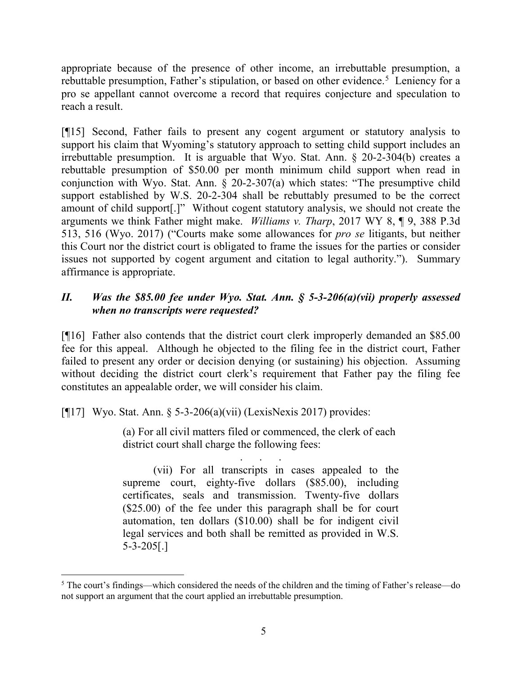appropriate because of the presence of other income, an irrebuttable presumption, a rebuttable presumption, Father's stipulation, or based on other evidence.<sup>[5](#page-5-0)</sup> Leniency for a pro se appellant cannot overcome a record that requires conjecture and speculation to reach a result.

[¶15] Second, Father fails to present any cogent argument or statutory analysis to support his claim that Wyoming's statutory approach to setting child support includes an irrebuttable presumption. It is arguable that Wyo. Stat. Ann. § 20-2-304(b) creates a rebuttable presumption of \$50.00 per month minimum child support when read in conjunction with Wyo. Stat. Ann. § 20-2-307(a) which states: "The presumptive child support established by W.S. 20-2-304 shall be rebuttably presumed to be the correct amount of child support[.]" Without cogent statutory analysis, we should not create the arguments we think Father might make. *Williams v. Tharp*, 2017 WY 8, ¶ 9, 388 P.3d 513, 516 (Wyo. 2017) ("Courts make some allowances for *pro se* litigants, but neither this Court nor the district court is obligated to frame the issues for the parties or consider issues not supported by cogent argument and citation to legal authority."). Summary affirmance is appropriate.

# *II. Was the \$85.00 fee under Wyo. Stat. Ann. § 5-3-206(a)(vii) properly assessed when no transcripts were requested?*

[¶16] Father also contends that the district court clerk improperly demanded an \$85.00 fee for this appeal. Although he objected to the filing fee in the district court, Father failed to present any order or decision denying (or sustaining) his objection. Assuming without deciding the district court clerk's requirement that Father pay the filing fee constitutes an appealable order, we will consider his claim.

[ $[17]$  Wyo. Stat. Ann. § 5-3-206(a)(vii) (LexisNexis 2017) provides:

(a) For all civil matters filed or commenced, the clerk of each district court shall charge the following fees:

. . . . . . (vii) For all transcripts in cases appealed to the supreme court, eighty-five dollars (\$85.00), including certificates, seals and transmission. Twenty-five dollars (\$25.00) of the fee under this paragraph shall be for court automation, ten dollars (\$10.00) shall be for indigent civil legal services and both shall be remitted as provided in W.S. 5-3-205[.]

<span id="page-5-0"></span> <sup>5</sup> The court's findings—which considered the needs of the children and the timing of Father's release—do not support an argument that the court applied an irrebuttable presumption.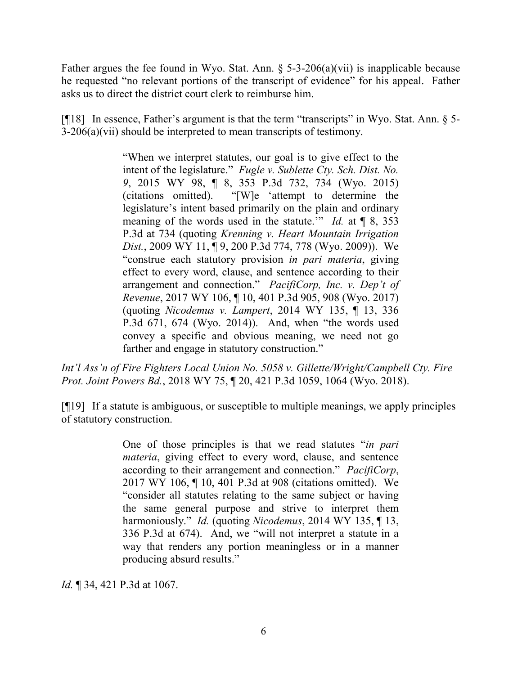Father argues the fee found in Wyo. Stat. Ann.  $\S$  5-3-206(a)(vii) is inapplicable because he requested "no relevant portions of the transcript of evidence" for his appeal. Father asks us to direct the district court clerk to reimburse him.

[¶18] In essence, Father's argument is that the term "transcripts" in Wyo. Stat. Ann. § 5- 3-206(a)(vii) should be interpreted to mean transcripts of testimony.

> "When we interpret statutes, our goal is to give effect to the intent of the legislature." *Fugle v. Sublette Cty. Sch. Dist. No. 9*, 2015 WY 98, ¶ 8, 353 P.3d 732, 734 (Wyo. 2015) (citations omitted). "[W]e 'attempt to determine the legislature's intent based primarily on the plain and ordinary meaning of the words used in the statute.'" *Id.* at ¶ 8, 353 P.3d at 734 (quoting *Krenning v. Heart Mountain Irrigation Dist.*, 2009 WY 11, ¶ 9, 200 P.3d 774, 778 (Wyo. 2009)). We "construe each statutory provision *in pari materia*, giving effect to every word, clause, and sentence according to their arrangement and connection." *PacifiCorp, Inc. v. Dep't of Revenue*, 2017 WY 106, ¶ 10, 401 P.3d 905, 908 (Wyo. 2017) (quoting *Nicodemus v. Lampert*, 2014 WY 135, ¶ 13, 336 P.3d 671, 674 (Wyo. 2014)). And, when "the words used convey a specific and obvious meaning, we need not go farther and engage in statutory construction."

*Int'l Ass'n of Fire Fighters Local Union No. 5058 v. Gillette/Wright/Campbell Cty. Fire Prot. Joint Powers Bd.*, 2018 WY 75, ¶ 20, 421 P.3d 1059, 1064 (Wyo. 2018).

[¶19] If a statute is ambiguous, or susceptible to multiple meanings, we apply principles of statutory construction.

> One of those principles is that we read statutes "*in pari materia*, giving effect to every word, clause, and sentence according to their arrangement and connection." *PacifiCorp*, 2017 WY 106, ¶ 10, 401 P.3d at 908 (citations omitted). We "consider all statutes relating to the same subject or having the same general purpose and strive to interpret them harmoniously." *Id.* (quoting *Nicodemus*, 2014 WY 135, ¶ 13, 336 P.3d at 674). And, we "will not interpret a statute in a way that renders any portion meaningless or in a manner producing absurd results."

*Id.* ¶ 34, 421 P.3d at 1067.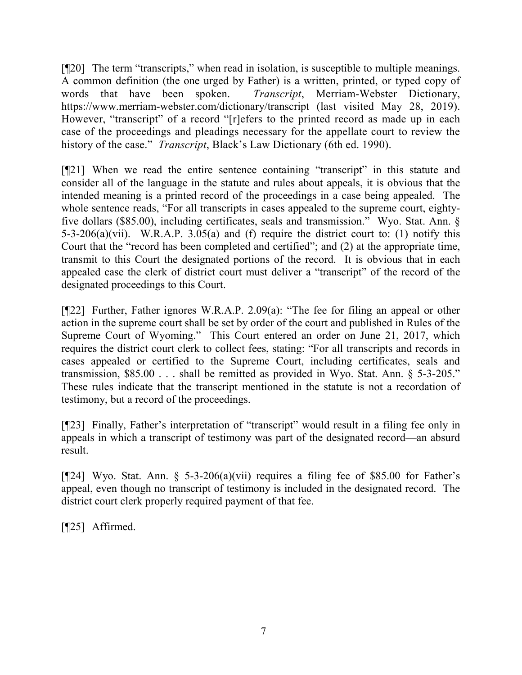[¶20] The term "transcripts," when read in isolation, is susceptible to multiple meanings. A common definition (the one urged by Father) is a written, printed, or typed copy of words that have been spoken. *Transcript*, Merriam-Webster Dictionary, <https://www.merriam-webster.com/dictionary/transcript> (last visited May 28, 2019). However, "transcript" of a record "[r]efers to the printed record as made up in each case of the proceedings and pleadings necessary for the appellate court to review the history of the case." *Transcript*, Black's Law Dictionary (6th ed. 1990).

[¶21] When we read the entire sentence containing "transcript" in this statute and consider all of the language in the statute and rules about appeals, it is obvious that the intended meaning is a printed record of the proceedings in a case being appealed. The whole sentence reads, "For all transcripts in cases appealed to the supreme court, eightyfive dollars (\$85.00), including certificates, seals and transmission." Wyo. Stat. Ann. § 5-3-206(a)(vii). W.R.A.P. 3.05(a) and (f) require the district court to: (1) notify this Court that the "record has been completed and certified"; and (2) at the appropriate time, transmit to this Court the designated portions of the record. It is obvious that in each appealed case the clerk of district court must deliver a "transcript" of the record of the designated proceedings to this Court.

[¶22] Further, Father ignores W.R.A.P. 2.09(a): "The fee for filing an appeal or other action in the supreme court shall be set by order of the court and published in Rules of the Supreme Court of Wyoming." This Court entered an order on June 21, 2017, which requires the district court clerk to collect fees, stating: "For all transcripts and records in cases appealed or certified to the Supreme Court, including certificates, seals and transmission, \$85.00 . . . shall be remitted as provided in Wyo. Stat. Ann. § 5-3-205." These rules indicate that the transcript mentioned in the statute is not a recordation of testimony, but a record of the proceedings.

[¶23] Finally, Father's interpretation of "transcript" would result in a filing fee only in appeals in which a transcript of testimony was part of the designated record—an absurd result.

[ $[24]$  Wyo. Stat. Ann. § 5-3-206(a)(vii) requires a filing fee of \$85.00 for Father's appeal, even though no transcript of testimony is included in the designated record. The district court clerk properly required payment of that fee.

[¶25] Affirmed.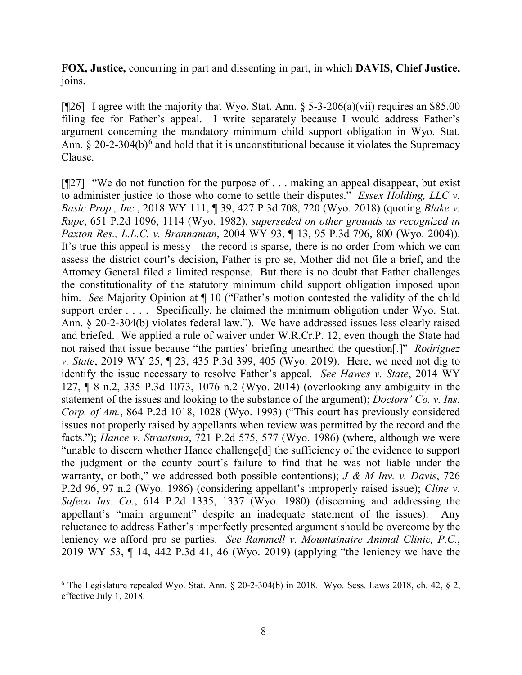**FOX, Justice,** concurring in part and dissenting in part, in which **DAVIS, Chief Justice,** joins.

[ $[$ [26] I agree with the majority that Wyo. Stat. Ann. § 5-3-206(a)(vii) requires an \$85.00 filing fee for Father's appeal. I write separately because I would address Father's argument concerning the mandatory minimum child support obligation in Wyo. Stat. Ann.  $\S 20$ -2-304(b)<sup>[6](#page-8-0)</sup> and hold that it is unconstitutional because it violates the Supremacy Clause.

[¶27] "We do not function for the purpose of . . . making an appeal disappear, but exist to administer justice to those who come to settle their disputes." *Essex Holding, LLC v. Basic Prop., Inc.*, 2018 WY 111, ¶ 39, 427 P.3d 708, 720 (Wyo. 2018) (quoting *Blake v. Rupe*, 651 P.2d 1096, 1114 (Wyo. 1982), *superseded on other grounds as recognized in Paxton Res., L.L.C. v. Brannaman*, 2004 WY 93, ¶ 13, 95 P.3d 796, 800 (Wyo. 2004)). It's true this appeal is messy—the record is sparse, there is no order from which we can assess the district court's decision, Father is pro se, Mother did not file a brief, and the Attorney General filed a limited response. But there is no doubt that Father challenges the constitutionality of the statutory minimum child support obligation imposed upon him. *See* Majority Opinion at  $\P$  10 ("Father's motion contested the validity of the child support order . . . . Specifically, he claimed the minimum obligation under Wyo. Stat. Ann. § 20-2-304(b) violates federal law."). We have addressed issues less clearly raised and briefed. We applied a rule of waiver under W.R.Cr.P. 12, even though the State had not raised that issue because "the parties' briefing unearthed the question[.]" *Rodriguez v. State*, 2019 WY 25, ¶ 23, 435 P.3d 399, 405 (Wyo. 2019). Here, we need not dig to identify the issue necessary to resolve Father's appeal. *See Hawes v. State*, 2014 WY 127, ¶ 8 n.2, 335 P.3d 1073, 1076 n.2 (Wyo. 2014) (overlooking any ambiguity in the statement of the issues and looking to the substance of the argument); *Doctors' Co. v. Ins. Corp. of Am.*, 864 P.2d 1018, 1028 (Wyo. 1993) ("This court has previously considered issues not properly raised by appellants when review was permitted by the record and the facts."); *Hance v. Straatsma*, 721 P.2d 575, 577 (Wyo. 1986) (where, although we were "unable to discern whether Hance challenge[d] the sufficiency of the evidence to support the judgment or the county court's failure to find that he was not liable under the warranty, or both," we addressed both possible contentions); *J & M Inv. v. Davis*, 726 P.2d 96, 97 n.2 (Wyo. 1986) (considering appellant's improperly raised issue); *Cline v. Safeco Ins. Co.*, 614 P.2d 1335, 1337 (Wyo. 1980) (discerning and addressing the appellant's "main argument" despite an inadequate statement of the issues). Any reluctance to address Father's imperfectly presented argument should be overcome by the leniency we afford pro se parties. *See Rammell v. Mountainaire Animal Clinic, P.C.*, 2019 WY 53, ¶ 14, 442 P.3d 41, 46 (Wyo. 2019) (applying "the leniency we have the

<span id="page-8-0"></span> $6$  The Legislature repealed Wyo. Stat. Ann. § 20-2-304(b) in 2018. Wyo. Sess. Laws 2018, ch. 42, § 2, effective July 1, 2018.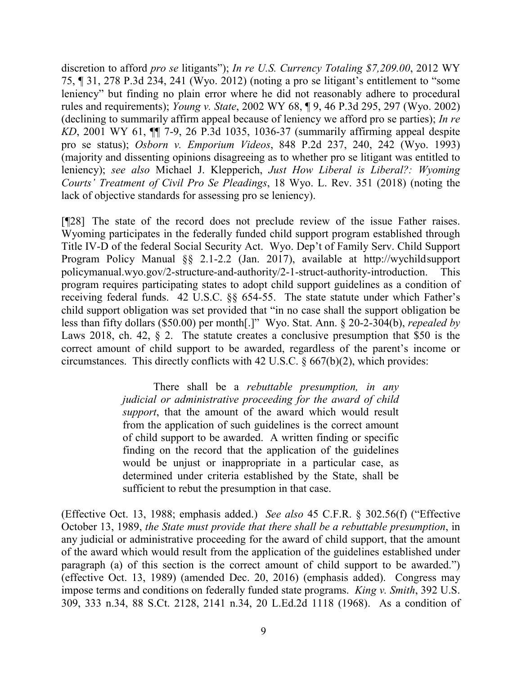discretion to afford *pro se* litigants"); *In re U.S. Currency Totaling \$7,209.00*, 2012 WY 75, ¶ 31, 278 P.3d 234, 241 (Wyo. 2012) (noting a pro se litigant's entitlement to "some leniency" but finding no plain error where he did not reasonably adhere to procedural rules and requirements); *Young v. State*, 2002 WY 68, ¶ 9, 46 P.3d 295, 297 (Wyo. 2002) (declining to summarily affirm appeal because of leniency we afford pro se parties); *In re KD*, 2001 WY 61, ¶¶ 7-9, 26 P.3d 1035, 1036-37 (summarily affirming appeal despite pro se status); *Osborn v. Emporium Videos*, 848 P.2d 237, 240, 242 (Wyo. 1993) (majority and dissenting opinions disagreeing as to whether pro se litigant was entitled to leniency); *see also* Michael J. Klepperich, *Just How Liberal is Liberal?: Wyoming Courts' Treatment of Civil Pro Se Pleadings*, 18 Wyo. L. Rev. 351 (2018) (noting the lack of objective standards for assessing pro se leniency).

[¶28] The state of the record does not preclude review of the issue Father raises. Wyoming participates in the federally funded child support program established through Title IV-D of the federal Social Security Act. Wyo. Dep't of Family Serv. Child Support Program Policy Manual §§ 2.1-2.2 (Jan. 2017), available at http://wychildsupport policymanual.wyo.gov/2-structure-and-authority/2-1-struct-authority-introduction. This program requires participating states to adopt child support guidelines as a condition of receiving federal funds. 42 U.S.C. §§ 654-55. The state statute under which Father's child support obligation was set provided that "in no case shall the support obligation be less than fifty dollars (\$50.00) per month[.]" Wyo. Stat. Ann. § 20-2-304(b), *repealed by*  Laws 2018, ch. 42, § 2. The statute creates a conclusive presumption that \$50 is the correct amount of child support to be awarded, regardless of the parent's income or circumstances. This directly conflicts with 42 U.S.C. § 667(b)(2), which provides:

> There shall be a *rebuttable presumption, in any judicial or administrative proceeding for the award of child support*, that the amount of the award which would result from the application of such guidelines is the correct amount of child support to be awarded. A written finding or specific finding on the record that the application of the guidelines would be unjust or inappropriate in a particular case, as determined under criteria established by the State, shall be sufficient to rebut the presumption in that case.

(Effective Oct. 13, 1988; emphasis added.) *See also* 45 C.F.R. § 302.56(f) ("Effective October 13, 1989, *the State must provide that there shall be a rebuttable presumption*, in any judicial or administrative proceeding for the award of child support, that the amount of the award which would result from the application of the guidelines established under paragraph (a) of this section is the correct amount of child support to be awarded.") (effective Oct. 13, 1989) (amended Dec. 20, 2016) (emphasis added). Congress may impose terms and conditions on federally funded state programs. *King v. Smith*, 392 U.S. 309, 333 n.34, 88 S.Ct. 2128, 2141 n.34, 20 L.Ed.2d 1118 (1968). As a condition of